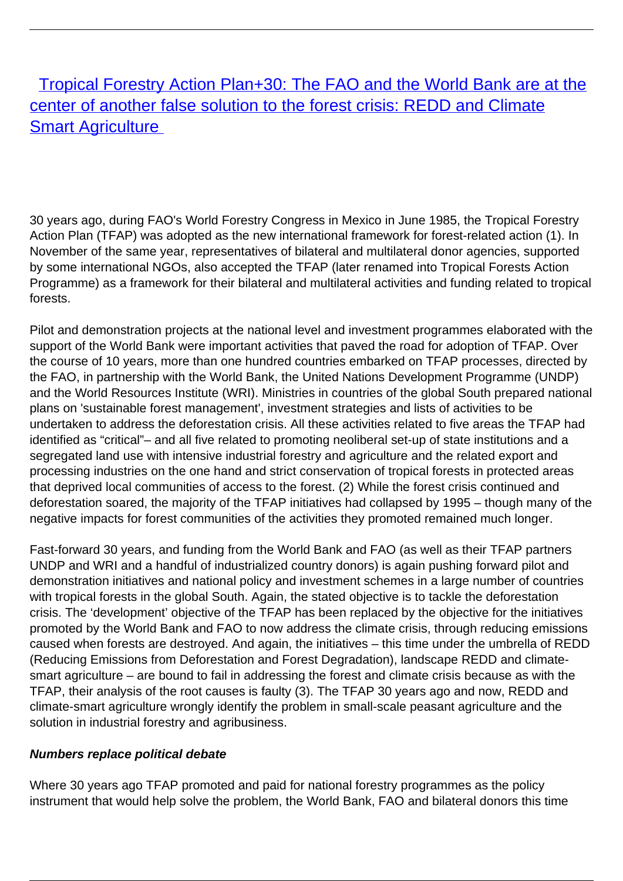[Tropical Forestry Action Plan+30: The FAO and the World Bank are at the](/bulletin-articles/tropical-forestry-action-plan30-the-fao-and-the-world-bank-are-at-the-center-of-another-false-solution-to-the-forest-crisis-redd-and-climate-smart-agriculture) [center of another false solution to the forest crisis: REDD and Climate](/bulletin-articles/tropical-forestry-action-plan30-the-fao-and-the-world-bank-are-at-the-center-of-another-false-solution-to-the-forest-crisis-redd-and-climate-smart-agriculture) **[Smart Agriculture](/bulletin-articles/tropical-forestry-action-plan30-the-fao-and-the-world-bank-are-at-the-center-of-another-false-solution-to-the-forest-crisis-redd-and-climate-smart-agriculture)** 

30 years ago, during FAO's World Forestry Congress in Mexico in June 1985, the Tropical Forestry Action Plan (TFAP) was adopted as the new international framework for forest-related action (1). In November of the same year, representatives of bilateral and multilateral donor agencies, supported by some international NGOs, also accepted the TFAP (later renamed into Tropical Forests Action Programme) as a framework for their bilateral and multilateral activities and funding related to tropical forests.

Pilot and demonstration projects at the national level and investment programmes elaborated with the support of the World Bank were important activities that paved the road for adoption of TFAP. Over the course of 10 years, more than one hundred countries embarked on TFAP processes, directed by the FAO, in partnership with the World Bank, the United Nations Development Programme (UNDP) and the World Resources Institute (WRI). Ministries in countries of the global South prepared national plans on 'sustainable forest management', investment strategies and lists of activities to be undertaken to address the deforestation crisis. All these activities related to five areas the TFAP had identified as "critical"– and all five related to promoting neoliberal set-up of state institutions and a segregated land use with intensive industrial forestry and agriculture and the related export and processing industries on the one hand and strict conservation of tropical forests in protected areas that deprived local communities of access to the forest. (2) While the forest crisis continued and deforestation soared, the majority of the TFAP initiatives had collapsed by 1995 – though many of the negative impacts for forest communities of the activities they promoted remained much longer.

Fast-forward 30 years, and funding from the World Bank and FAO (as well as their TFAP partners UNDP and WRI and a handful of industrialized country donors) is again pushing forward pilot and demonstration initiatives and national policy and investment schemes in a large number of countries with tropical forests in the global South. Again, the stated objective is to tackle the deforestation crisis. The 'development' objective of the TFAP has been replaced by the objective for the initiatives promoted by the World Bank and FAO to now address the climate crisis, through reducing emissions caused when forests are destroyed. And again, the initiatives – this time under the umbrella of REDD (Reducing Emissions from Deforestation and Forest Degradation), landscape REDD and climatesmart agriculture – are bound to fail in addressing the forest and climate crisis because as with the TFAP, their analysis of the root causes is faulty (3). The TFAP 30 years ago and now, REDD and climate-smart agriculture wrongly identify the problem in small-scale peasant agriculture and the solution in industrial forestry and agribusiness.

## **Numbers replace political debate**

Where 30 years ago TFAP promoted and paid for national forestry programmes as the policy instrument that would help solve the problem, the World Bank, FAO and bilateral donors this time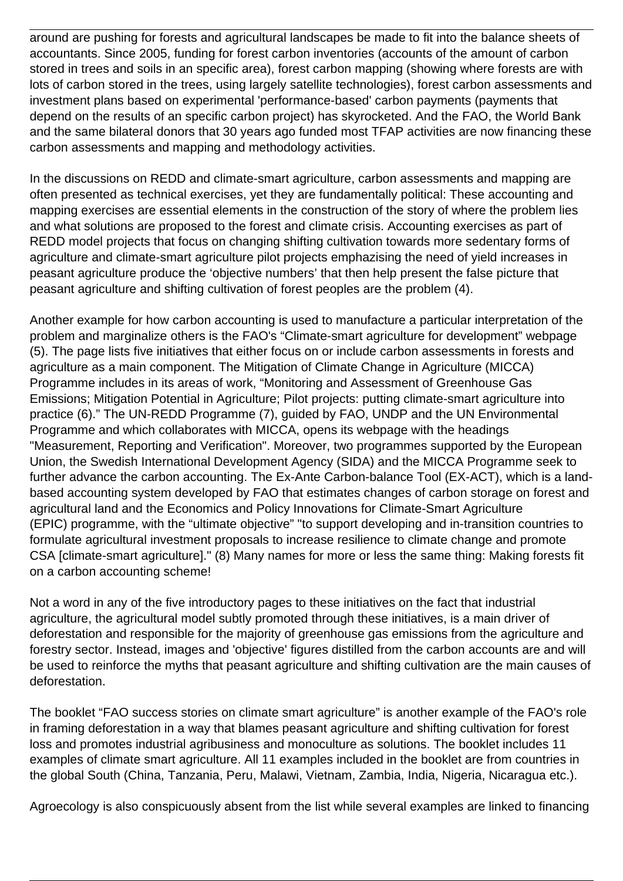around are pushing for forests and agricultural landscapes be made to fit into the balance sheets of accountants. Since 2005, funding for forest carbon inventories (accounts of the amount of carbon stored in trees and soils in an specific area), forest carbon mapping (showing where forests are with lots of carbon stored in the trees, using largely satellite technologies), forest carbon assessments and investment plans based on experimental 'performance-based' carbon payments (payments that depend on the results of an specific carbon project) has skyrocketed. And the FAO, the World Bank and the same bilateral donors that 30 years ago funded most TFAP activities are now financing these carbon assessments and mapping and methodology activities.

In the discussions on REDD and climate-smart agriculture, carbon assessments and mapping are often presented as technical exercises, yet they are fundamentally political: These accounting and mapping exercises are essential elements in the construction of the story of where the problem lies and what solutions are proposed to the forest and climate crisis. Accounting exercises as part of REDD model projects that focus on changing shifting cultivation towards more sedentary forms of agriculture and climate-smart agriculture pilot projects emphazising the need of yield increases in peasant agriculture produce the 'objective numbers' that then help present the false picture that peasant agriculture and shifting cultivation of forest peoples are the problem (4).

Another example for how carbon accounting is used to manufacture a particular interpretation of the problem and marginalize others is the FAO's "Climate-smart agriculture for development" webpage (5). The page lists five initiatives that either focus on or include carbon assessments in forests and agriculture as a main component. The Mitigation of Climate Change in Agriculture (MICCA) Programme includes in its areas of work, "Monitoring and Assessment of Greenhouse Gas Emissions; Mitigation Potential in Agriculture; Pilot projects: putting climate-smart agriculture into practice (6)." The UN-REDD Programme (7), guided by FAO, UNDP and the UN Environmental Programme and which collaborates with MICCA, opens its webpage with the headings "Measurement, Reporting and Verification". Moreover, two programmes supported by the European Union, the Swedish International Development Agency (SIDA) and the MICCA Programme seek to further advance the carbon accounting. The Ex-Ante Carbon-balance Tool (EX-ACT), which is a landbased accounting system developed by FAO that estimates changes of carbon storage on forest and agricultural land and the Economics and Policy Innovations for Climate-Smart Agriculture (EPIC) programme, with the "ultimate objective" "to support developing and in-transition countries to formulate agricultural investment proposals to increase resilience to climate change and promote CSA [climate-smart agriculture]." (8) Many names for more or less the same thing: Making forests fit on a carbon accounting scheme!

Not a word in any of the five introductory pages to these initiatives on the fact that industrial agriculture, the agricultural model subtly promoted through these initiatives, is a main driver of deforestation and responsible for the majority of greenhouse gas emissions from the agriculture and forestry sector. Instead, images and 'objective' figures distilled from the carbon accounts are and will be used to reinforce the myths that peasant agriculture and shifting cultivation are the main causes of deforestation.

The booklet "FAO success stories on climate smart agriculture" is another example of the FAO's role in framing deforestation in a way that blames peasant agriculture and shifting cultivation for forest loss and promotes industrial agribusiness and monoculture as solutions. The booklet includes 11 examples of climate smart agriculture. All 11 examples included in the booklet are from countries in the global South (China, Tanzania, Peru, Malawi, Vietnam, Zambia, India, Nigeria, Nicaragua etc.).

Agroecology is also conspicuously absent from the list while several examples are linked to financing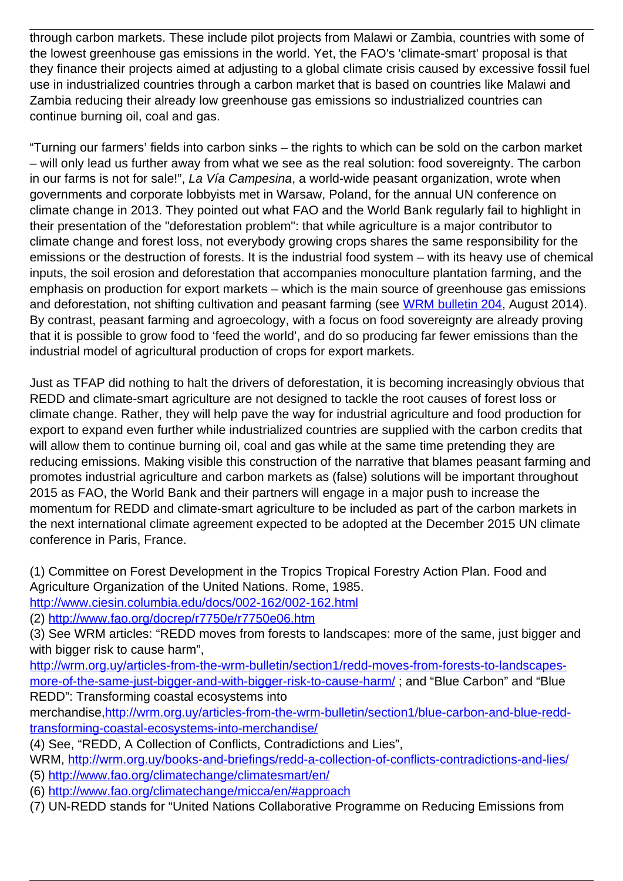through carbon markets. These include pilot projects from Malawi or Zambia, countries with some of the lowest greenhouse gas emissions in the world. Yet, the FAO's 'climate-smart' proposal is that they finance their projects aimed at adjusting to a global climate crisis caused by excessive fossil fuel use in industrialized countries through a carbon market that is based on countries like Malawi and Zambia reducing their already low greenhouse gas emissions so industrialized countries can continue burning oil, coal and gas.

"Turning our farmers' fields into carbon sinks – the rights to which can be sold on the carbon market – will only lead us further away from what we see as the real solution: food sovereignty. The carbon in our farms is not for sale!", La Vía Campesina, a world-wide peasant organization, wrote when governments and corporate lobbyists met in Warsaw, Poland, for the annual UN conference on climate change in 2013. They pointed out what FAO and the World Bank regularly fail to highlight in their presentation of the "deforestation problem": that while agriculture is a major contributor to climate change and forest loss, not everybody growing crops shares the same responsibility for the emissions or the destruction of forests. It is the industrial food system – with its heavy use of chemical inputs, the soil erosion and deforestation that accompanies monoculture plantation farming, and the emphasis on production for export markets – which is the main source of greenhouse gas emissions and deforestation, not shifting cultivation and peasant farming (see [WRM bulletin 204,](http://wrm.org.uy/bulletins/issue-204/) August 2014). By contrast, peasant farming and agroecology, with a focus on food sovereignty are already proving that it is possible to grow food to 'feed the world', and do so producing far fewer emissions than the industrial model of agricultural production of crops for export markets.

Just as TFAP did nothing to halt the drivers of deforestation, it is becoming increasingly obvious that REDD and climate-smart agriculture are not designed to tackle the root causes of forest loss or climate change. Rather, they will help pave the way for industrial agriculture and food production for export to expand even further while industrialized countries are supplied with the carbon credits that will allow them to continue burning oil, coal and gas while at the same time pretending they are reducing emissions. Making visible this construction of the narrative that blames peasant farming and promotes industrial agriculture and carbon markets as (false) solutions will be important throughout 2015 as FAO, the World Bank and their partners will engage in a major push to increase the momentum for REDD and climate-smart agriculture to be included as part of the carbon markets in the next international climate agreement expected to be adopted at the December 2015 UN climate conference in Paris, France.

(1) Committee on Forest Development in the Tropics Tropical Forestry Action Plan. Food and Agriculture Organization of the United Nations. Rome, 1985.

<http://www.ciesin.columbia.edu/docs/002-162/002-162.html>

(2)<http://www.fao.org/docrep/r7750e/r7750e06.htm>

(3) See WRM articles: "REDD moves from forests to landscapes: more of the same, just bigger and with bigger risk to cause harm",

[http://wrm.org.uy/articles-from-the-wrm-bulletin/section1/redd-moves-from-forests-to-landscapes](http://wrm.org.uy/articles-from-the-wrm-bulletin/section1/redd-moves-from-forests-to-landscapes-more-of-the-same-just-bigger-and-with-bigger-risk-to-cause-harm/)[more-of-the-same-just-bigger-and-with-bigger-risk-to-cause-harm/](http://wrm.org.uy/articles-from-the-wrm-bulletin/section1/redd-moves-from-forests-to-landscapes-more-of-the-same-just-bigger-and-with-bigger-risk-to-cause-harm/) ; and "Blue Carbon" and "Blue REDD": Transforming coastal ecosystems into

merchandise[,http://wrm.org.uy/articles-from-the-wrm-bulletin/section1/blue-carbon-and-blue-redd](http://wrm.org.uy/articles-from-the-wrm-bulletin/section1/blue-carbon-and-blue-redd-transforming-coastal-ecosystems-into-merchandise/)[transforming-coastal-ecosystems-into-merchandise/](http://wrm.org.uy/articles-from-the-wrm-bulletin/section1/blue-carbon-and-blue-redd-transforming-coastal-ecosystems-into-merchandise/)

(4) See, "REDD, A Collection of Conflicts, Contradictions and Lies",

WRM,<http://wrm.org.uy/books-and-briefings/redd-a-collection-of-conflicts-contradictions-and-lies/> (5)<http://www.fao.org/climatechange/climatesmart/en/>

(6)<http://www.fao.org/climatechange/micca/en/#approach>

(7) UN-REDD stands for "United Nations Collaborative Programme on Reducing Emissions from